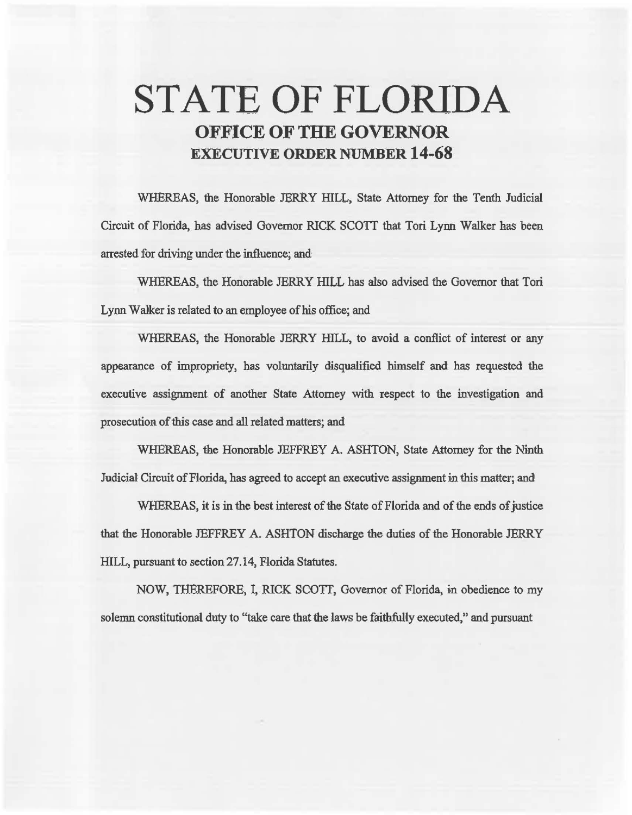# **STATE OF FLORIDA OFFICE OF THE GOVERNOR EXECUTIVE ORDER NUMBER 14·68**

WHEREAS, the Honorable JERRY HILL, State Attorney for the Tenth Judicial Circuit of Florida, has advised Governor RICK SCOTT that Tori Lynn Walker has been arrested for driving under the influence; and

WHEREAS, the Honorable JERRY HILL has also advised the Governor that Tori Lynn Walker is related to an employee of his office; and

WHEREAS, the Honorable JERRY HILL, to avoid a conflict of interest or any appearance of impropriety, has voluntarily disqualified himself and has requested the executive assignment of another State Attorney with respect to the investigation and prosecution of this case and all related matters; and

WHEREAS, the Honorable JEFFREY A. ASHTON, State Attorney for the Ninth Judicial Circuit of Florida, has agreed to accept an executive assignment in this matter; and

WHEREAS, it is in the best interest of the State of Florida and of the ends of justice that the Honorable JEFFREY A. ASHTON discharge the duties of the Honorable JERRY HILL, pursuant to section 27.14, Florida Statutes.

NOW, THEREFORE, I, RICK SCOTT, Governor of Florida, in obedience to my solemn constitutional duty to "take care that the laws be faithfully executed," and pursuant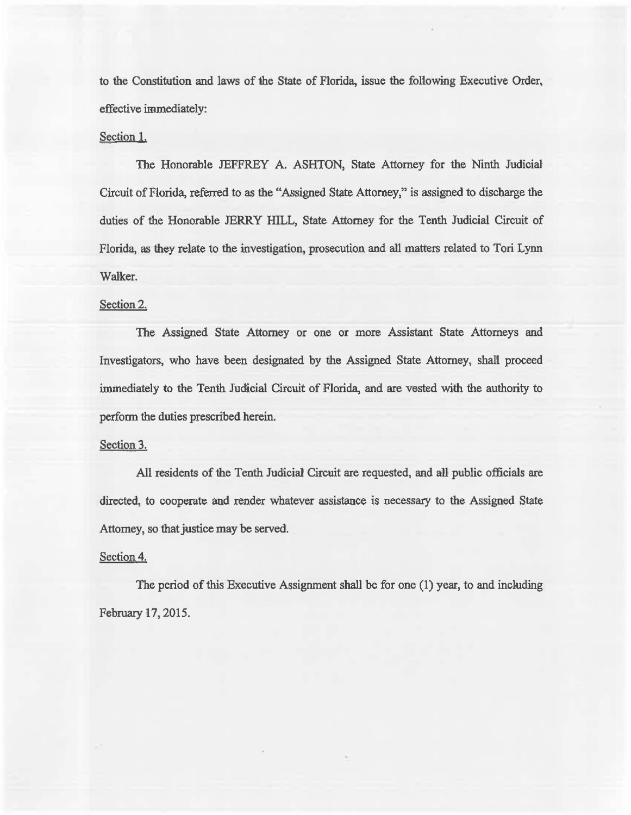to the Constitution and laws of the State of Florida, issue the following Executive Order, effective immediately:

## Section 1.

The Honorable JEFFREY A. ASHTON, State Attorney for the Ninth Judicial Circuit of Florida, referred to as the "Assigned State Attorney," is assigned to discharge the duties of the Honorable JERRY HILL, State Attorney for the Tenth Judicial Circuit of Florida, as they relate to the investigation, prosecution and all matters related to Tori Lynn Walker.

## Section 2.

The Assigned State Attorney or one or more Assistant State Attorneys and Investigators, who have been designated by the Assigned State Attorney, shall proceed immediately to the Tenth Judicial Circuit of Florida, and are vested with the authority to perform the duties prescribed herein.

### Section 3.

All residents of the Tenth Judicial Circuit are requested, and all public officials are directed, to cooperate and render whatever assistance is necessary to the Assigned State Attorney, so that justice may be served.

### Section 4.

The period of this Executive Assignment shall be for one (1) year, to and including February 17, 2015.